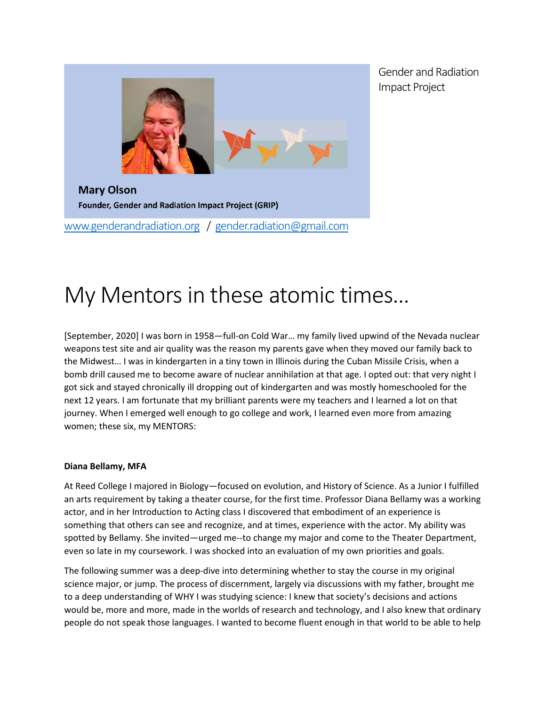

[www.genderandradiation.org](http://www.genderandradiation.org/) / [gender.radiation@gmail.com](mailto:gender.radiation@gmail.com)

Gender and Radiation Impact Project

# My Mentors in these atomic times…

[September, 2020] I was born in 1958—full-on Cold War… my family lived upwind of the Nevada nuclear weapons test site and air quality was the reason my parents gave when they moved our family back to the Midwest… I was in kindergarten in a tiny town in Illinois during the Cuban Missile Crisis, when a bomb drill caused me to become aware of nuclear annihilation at that age. I opted out: that very night I got sick and stayed chronically ill dropping out of kindergarten and was mostly homeschooled for the next 12 years. I am fortunate that my brilliant parents were my teachers and I learned a lot on that journey. When I emerged well enough to go college and work, I learned even more from amazing women; these six, my MENTORS:

## **Diana Bellamy, MFA**

At Reed College I majored in Biology—focused on evolution, and History of Science. As a Junior I fulfilled an arts requirement by taking a theater course, for the first time. Professor Diana Bellamy was a working actor, and in her Introduction to Acting class I discovered that embodiment of an experience is something that others can see and recognize, and at times, experience with the actor. My ability was spotted by Bellamy. She invited—urged me--to change my major and come to the Theater Department, even so late in my coursework. I was shocked into an evaluation of my own priorities and goals.

The following summer was a deep-dive into determining whether to stay the course in my original science major, or jump. The process of discernment, largely via discussions with my father, brought me to a deep understanding of WHY I was studying science: I knew that society's decisions and actions would be, more and more, made in the worlds of research and technology, and I also knew that ordinary people do not speak those languages. I wanted to become fluent enough in that world to be able to help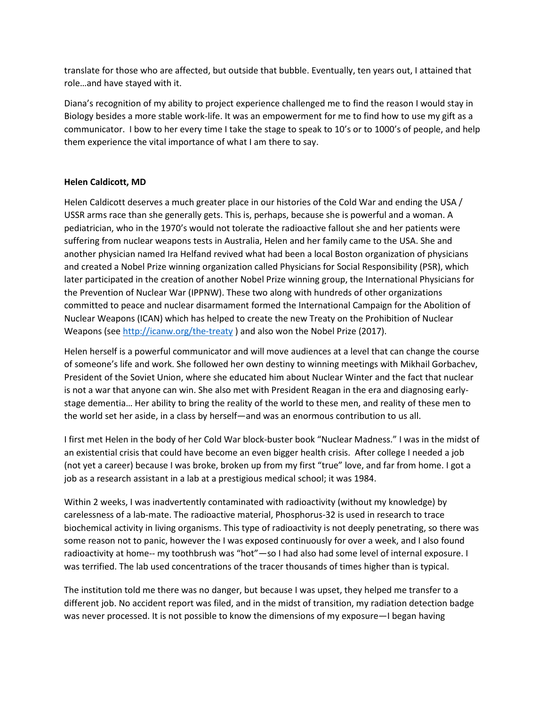translate for those who are affected, but outside that bubble. Eventually, ten years out, I attained that role…and have stayed with it.

Diana's recognition of my ability to project experience challenged me to find the reason I would stay in Biology besides a more stable work-life. It was an empowerment for me to find how to use my gift as a communicator. I bow to her every time I take the stage to speak to 10's or to 1000's of people, and help them experience the vital importance of what I am there to say.

# **Helen Caldicott, MD**

Helen Caldicott deserves a much greater place in our histories of the Cold War and ending the USA / USSR arms race than she generally gets. This is, perhaps, because she is powerful and a woman. A pediatrician, who in the 1970's would not tolerate the radioactive fallout she and her patients were suffering from nuclear weapons tests in Australia, Helen and her family came to the USA. She and another physician named Ira Helfand revived what had been a local Boston organization of physicians and created a Nobel Prize winning organization called Physicians for Social Responsibility (PSR), which later participated in the creation of another Nobel Prize winning group, the International Physicians for the Prevention of Nuclear War (IPPNW). These two along with hundreds of other organizations committed to peace and nuclear disarmament formed the International Campaign for the Abolition of Nuclear Weapons (ICAN) which has helped to create the new Treaty on the Prohibition of Nuclear Weapons (se[e http://icanw.org/the-treaty](http://icanw.org/the-treaty) ) and also won the Nobel Prize (2017).

Helen herself is a powerful communicator and will move audiences at a level that can change the course of someone's life and work. She followed her own destiny to winning meetings with Mikhail Gorbachev, President of the Soviet Union, where she educated him about Nuclear Winter and the fact that nuclear is not a war that anyone can win. She also met with President Reagan in the era and diagnosing earlystage dementia… Her ability to bring the reality of the world to these men, and reality of these men to the world set her aside, in a class by herself—and was an enormous contribution to us all.

I first met Helen in the body of her Cold War block-buster book "Nuclear Madness." I was in the midst of an existential crisis that could have become an even bigger health crisis. After college I needed a job (not yet a career) because I was broke, broken up from my first "true" love, and far from home. I got a job as a research assistant in a lab at a prestigious medical school; it was 1984.

Within 2 weeks, I was inadvertently contaminated with radioactivity (without my knowledge) by carelessness of a lab-mate. The radioactive material, Phosphorus-32 is used in research to trace biochemical activity in living organisms. This type of radioactivity is not deeply penetrating, so there was some reason not to panic, however the I was exposed continuously for over a week, and I also found radioactivity at home-- my toothbrush was "hot"—so I had also had some level of internal exposure. I was terrified. The lab used concentrations of the tracer thousands of times higher than is typical.

The institution told me there was no danger, but because I was upset, they helped me transfer to a different job. No accident report was filed, and in the midst of transition, my radiation detection badge was never processed. It is not possible to know the dimensions of my exposure—I began having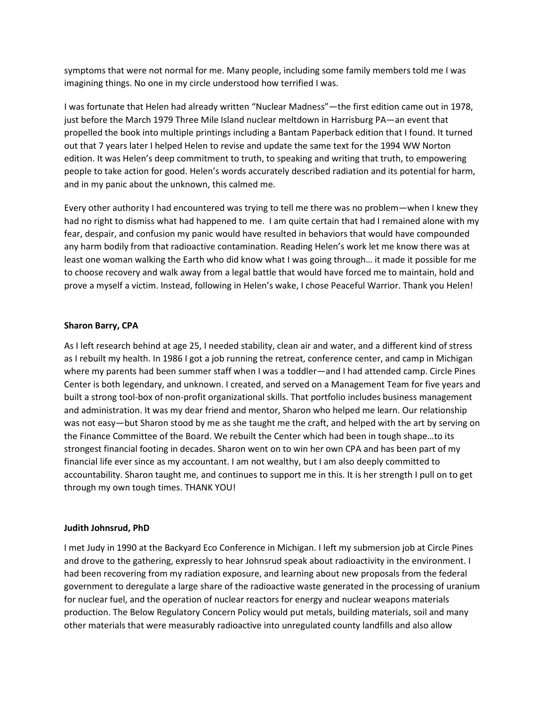symptoms that were not normal for me. Many people, including some family members told me I was imagining things. No one in my circle understood how terrified I was.

I was fortunate that Helen had already written "Nuclear Madness"—the first edition came out in 1978, just before the March 1979 Three Mile Island nuclear meltdown in Harrisburg PA—an event that propelled the book into multiple printings including a Bantam Paperback edition that I found. It turned out that 7 years later I helped Helen to revise and update the same text for the 1994 WW Norton edition. It was Helen's deep commitment to truth, to speaking and writing that truth, to empowering people to take action for good. Helen's words accurately described radiation and its potential for harm, and in my panic about the unknown, this calmed me.

Every other authority I had encountered was trying to tell me there was no problem—when I knew they had no right to dismiss what had happened to me. I am quite certain that had I remained alone with my fear, despair, and confusion my panic would have resulted in behaviors that would have compounded any harm bodily from that radioactive contamination. Reading Helen's work let me know there was at least one woman walking the Earth who did know what I was going through… it made it possible for me to choose recovery and walk away from a legal battle that would have forced me to maintain, hold and prove a myself a victim. Instead, following in Helen's wake, I chose Peaceful Warrior. Thank you Helen!

#### **Sharon Barry, CPA**

As I left research behind at age 25, I needed stability, clean air and water, and a different kind of stress as I rebuilt my health. In 1986 I got a job running the retreat, conference center, and camp in Michigan where my parents had been summer staff when I was a toddler—and I had attended camp. Circle Pines Center is both legendary, and unknown. I created, and served on a Management Team for five years and built a strong tool-box of non-profit organizational skills. That portfolio includes business management and administration. It was my dear friend and mentor, Sharon who helped me learn. Our relationship was not easy—but Sharon stood by me as she taught me the craft, and helped with the art by serving on the Finance Committee of the Board. We rebuilt the Center which had been in tough shape…to its strongest financial footing in decades. Sharon went on to win her own CPA and has been part of my financial life ever since as my accountant. I am not wealthy, but I am also deeply committed to accountability. Sharon taught me, and continues to support me in this. It is her strength I pull on to get through my own tough times. THANK YOU!

## **Judith Johnsrud, PhD**

I met Judy in 1990 at the Backyard Eco Conference in Michigan. I left my submersion job at Circle Pines and drove to the gathering, expressly to hear Johnsrud speak about radioactivity in the environment. I had been recovering from my radiation exposure, and learning about new proposals from the federal government to deregulate a large share of the radioactive waste generated in the processing of uranium for nuclear fuel, and the operation of nuclear reactors for energy and nuclear weapons materials production. The Below Regulatory Concern Policy would put metals, building materials, soil and many other materials that were measurably radioactive into unregulated county landfills and also allow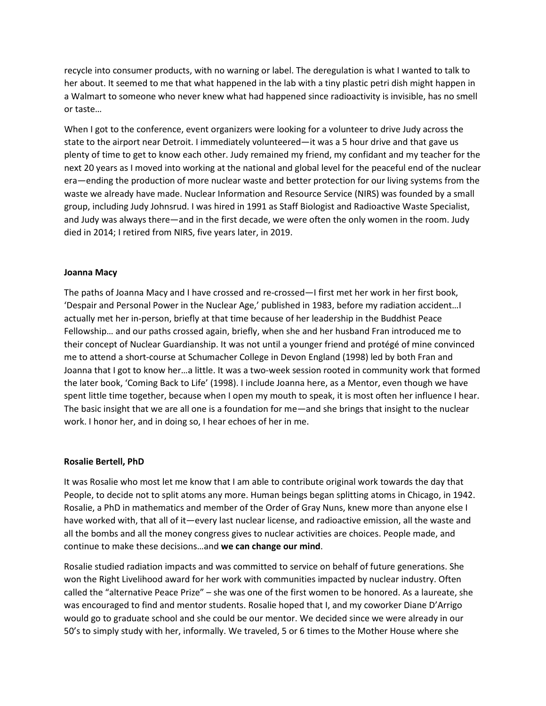recycle into consumer products, with no warning or label. The deregulation is what I wanted to talk to her about. It seemed to me that what happened in the lab with a tiny plastic petri dish might happen in a Walmart to someone who never knew what had happened since radioactivity is invisible, has no smell or taste…

When I got to the conference, event organizers were looking for a volunteer to drive Judy across the state to the airport near Detroit. I immediately volunteered—it was a 5 hour drive and that gave us plenty of time to get to know each other. Judy remained my friend, my confidant and my teacher for the next 20 years as I moved into working at the national and global level for the peaceful end of the nuclear era—ending the production of more nuclear waste and better protection for our living systems from the waste we already have made. Nuclear Information and Resource Service (NIRS) was founded by a small group, including Judy Johnsrud. I was hired in 1991 as Staff Biologist and Radioactive Waste Specialist, and Judy was always there—and in the first decade, we were often the only women in the room. Judy died in 2014; I retired from NIRS, five years later, in 2019.

#### **Joanna Macy**

The paths of Joanna Macy and I have crossed and re-crossed—I first met her work in her first book, 'Despair and Personal Power in the Nuclear Age,' published in 1983, before my radiation accident…I actually met her in-person, briefly at that time because of her leadership in the Buddhist Peace Fellowship… and our paths crossed again, briefly, when she and her husband Fran introduced me to their concept of Nuclear Guardianship. It was not until a younger friend and protégé of mine convinced me to attend a short-course at Schumacher College in Devon England (1998) led by both Fran and Joanna that I got to know her…a little. It was a two-week session rooted in community work that formed the later book, 'Coming Back to Life' (1998). I include Joanna here, as a Mentor, even though we have spent little time together, because when I open my mouth to speak, it is most often her influence I hear. The basic insight that we are all one is a foundation for me—and she brings that insight to the nuclear work. I honor her, and in doing so, I hear echoes of her in me.

#### **Rosalie Bertell, PhD**

It was Rosalie who most let me know that I am able to contribute original work towards the day that People, to decide not to split atoms any more. Human beings began splitting atoms in Chicago, in 1942. Rosalie, a PhD in mathematics and member of the Order of Gray Nuns, knew more than anyone else I have worked with, that all of it—every last nuclear license, and radioactive emission, all the waste and all the bombs and all the money congress gives to nuclear activities are choices. People made, and continue to make these decisions…and **we can change our mind**.

Rosalie studied radiation impacts and was committed to service on behalf of future generations. She won the Right Livelihood award for her work with communities impacted by nuclear industry. Often called the "alternative Peace Prize" – she was one of the first women to be honored. As a laureate, she was encouraged to find and mentor students. Rosalie hoped that I, and my coworker Diane D'Arrigo would go to graduate school and she could be our mentor. We decided since we were already in our 50's to simply study with her, informally. We traveled, 5 or 6 times to the Mother House where she